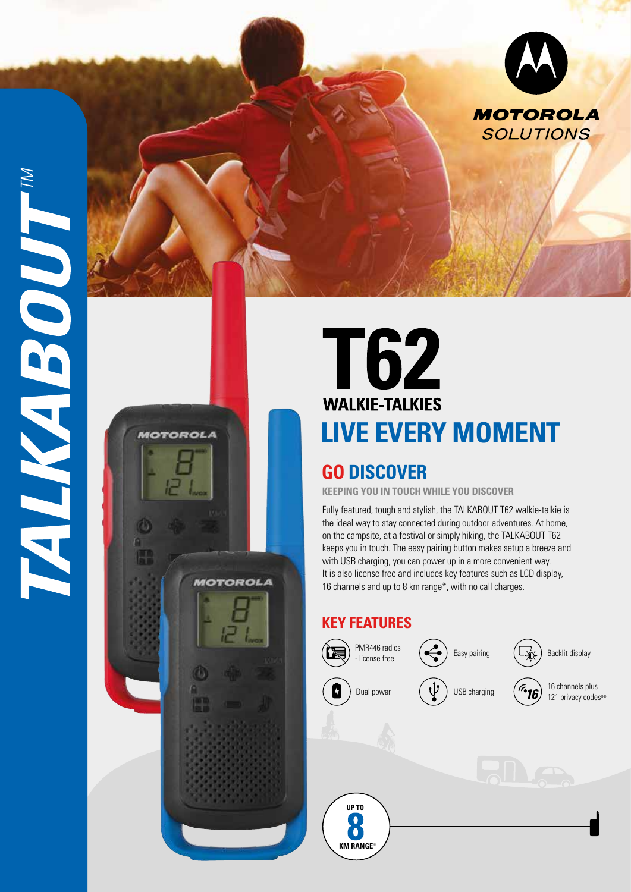

**MOTOROLA** 

**MOTOROLA** 



## **GO DISCOVER**

**KEEPING YOU IN TOUCH WHILE YOU DISCOVER**

Fully featured, tough and stylish, the TALKABOUT T62 walkie-talkie is the ideal way to stay connected during outdoor adventures. At home, on the campsite, at a festival or simply hiking, the TALKABOUT T62 keeps you in touch. The easy pairing button makes setup a breeze and with USB charging, you can power up in a more convenient way. It is also license free and includes key features such as LCD display, 16 channels and up to 8 km range\*, with no call charges.

## **KEY FEATURES**